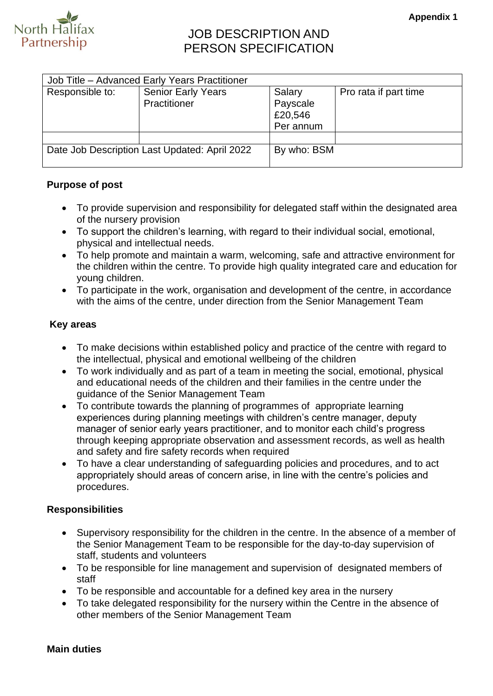

# JOB DESCRIPTION AND PERSON SPECIFICATION

| Job Title - Advanced Early Years Practitioner |                                           |                                            |                       |  |
|-----------------------------------------------|-------------------------------------------|--------------------------------------------|-----------------------|--|
| Responsible to:                               | <b>Senior Early Years</b><br>Practitioner | Salary<br>Payscale<br>£20,546<br>Per annum | Pro rata if part time |  |
|                                               |                                           |                                            |                       |  |
| Date Job Description Last Updated: April 2022 |                                           | By who: BSM                                |                       |  |

## **Purpose of post**

- To provide supervision and responsibility for delegated staff within the designated area of the nursery provision
- To support the children's learning, with regard to their individual social, emotional, physical and intellectual needs.
- To help promote and maintain a warm, welcoming, safe and attractive environment for the children within the centre. To provide high quality integrated care and education for young children.
- To participate in the work, organisation and development of the centre, in accordance with the aims of the centre, under direction from the Senior Management Team

### **Key areas**

- To make decisions within established policy and practice of the centre with regard to the intellectual, physical and emotional wellbeing of the children
- To work individually and as part of a team in meeting the social, emotional, physical and educational needs of the children and their families in the centre under the guidance of the Senior Management Team
- To contribute towards the planning of programmes of appropriate learning experiences during planning meetings with children's centre manager, deputy manager of senior early years practitioner, and to monitor each child's progress through keeping appropriate observation and assessment records, as well as health and safety and fire safety records when required
- To have a clear understanding of safeguarding policies and procedures, and to act appropriately should areas of concern arise, in line with the centre's policies and procedures.

### **Responsibilities**

- Supervisory responsibility for the children in the centre. In the absence of a member of the Senior Management Team to be responsible for the day-to-day supervision of staff, students and volunteers
- To be responsible for line management and supervision of designated members of staff
- To be responsible and accountable for a defined key area in the nursery
- To take delegated responsibility for the nursery within the Centre in the absence of other members of the Senior Management Team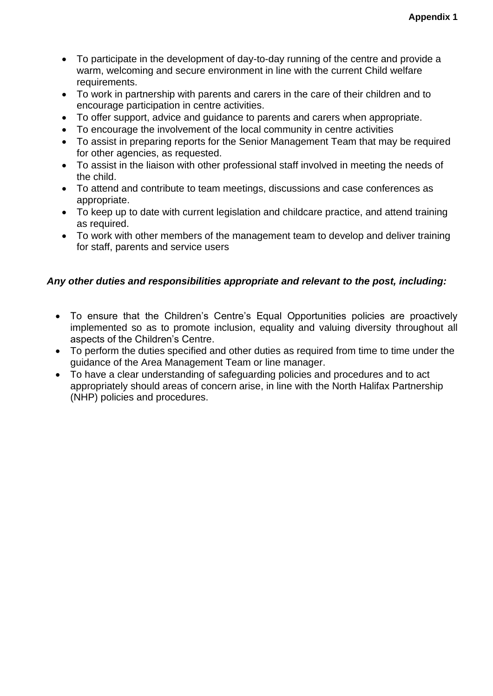- To participate in the development of day-to-day running of the centre and provide a warm, welcoming and secure environment in line with the current Child welfare requirements.
- To work in partnership with parents and carers in the care of their children and to encourage participation in centre activities.
- To offer support, advice and guidance to parents and carers when appropriate.
- To encourage the involvement of the local community in centre activities
- To assist in preparing reports for the Senior Management Team that may be required for other agencies, as requested.
- To assist in the liaison with other professional staff involved in meeting the needs of the child.
- To attend and contribute to team meetings, discussions and case conferences as appropriate.
- To keep up to date with current legislation and childcare practice, and attend training as required.
- To work with other members of the management team to develop and deliver training for staff, parents and service users

#### *Any other duties and responsibilities appropriate and relevant to the post, including:*

- To ensure that the Children's Centre's Equal Opportunities policies are proactively implemented so as to promote inclusion, equality and valuing diversity throughout all aspects of the Children's Centre.
- To perform the duties specified and other duties as required from time to time under the guidance of the Area Management Team or line manager.
- To have a clear understanding of safeguarding policies and procedures and to act appropriately should areas of concern arise, in line with the North Halifax Partnership (NHP) policies and procedures.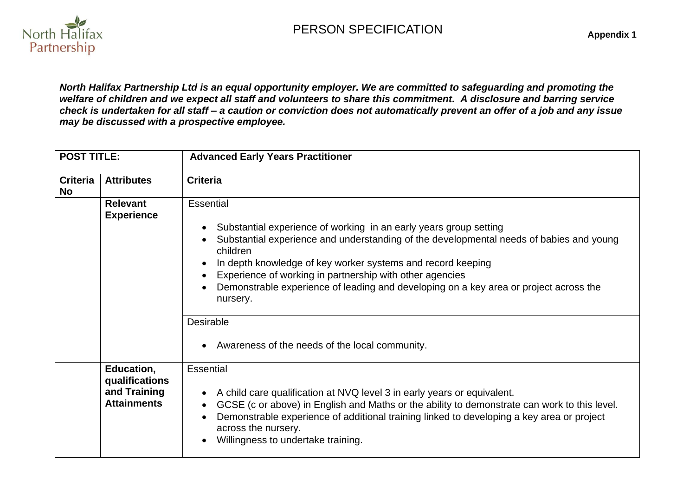PERSON SPECIFICATION



**Appendix 1**

*North Halifax Partnership Ltd is an equal opportunity employer. We are committed to safeguarding and promoting the welfare of children and we expect all staff and volunteers to share this commitment. A disclosure and barring service check is undertaken for all staff – a caution or conviction does not automatically prevent an offer of a job and any issue may be discussed with a prospective employee.*

| <b>POST TITLE:</b>    |                                                                    | <b>Advanced Early Years Practitioner</b>                                                                                                                                                                                                                                                                                                                                                                                                                                                      |  |  |
|-----------------------|--------------------------------------------------------------------|-----------------------------------------------------------------------------------------------------------------------------------------------------------------------------------------------------------------------------------------------------------------------------------------------------------------------------------------------------------------------------------------------------------------------------------------------------------------------------------------------|--|--|
| <b>Criteria</b><br>No | <b>Attributes</b>                                                  | <b>Criteria</b>                                                                                                                                                                                                                                                                                                                                                                                                                                                                               |  |  |
|                       | <b>Relevant</b><br><b>Experience</b>                               | Essential<br>Substantial experience of working in an early years group setting<br>Substantial experience and understanding of the developmental needs of babies and young<br>children<br>In depth knowledge of key worker systems and record keeping<br>Experience of working in partnership with other agencies<br>Demonstrable experience of leading and developing on a key area or project across the<br>nursery.<br><b>Desirable</b><br>• Awareness of the needs of the local community. |  |  |
|                       | Education,<br>qualifications<br>and Training<br><b>Attainments</b> | <b>Essential</b><br>A child care qualification at NVQ level 3 in early years or equivalent.<br>GCSE (c or above) in English and Maths or the ability to demonstrate can work to this level.<br>Demonstrable experience of additional training linked to developing a key area or project<br>across the nursery.<br>Willingness to undertake training.                                                                                                                                         |  |  |